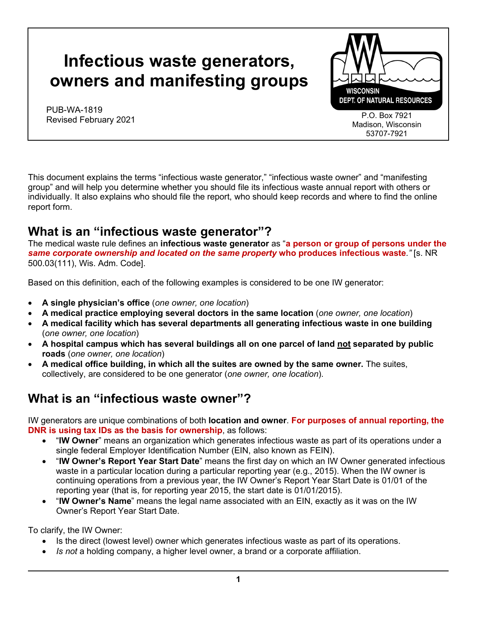# **Infectious waste generators, owners and manifesting groups**

PUB-WA-1819 Revised February 2021



This document explains the terms "infectious waste generator," "infectious waste owner" and "manifesting group" and will help you determine whether you should file its infectious waste annual report with others or individually. It also explains who should file the report, who should keep records and where to find the online report form.

# **What is an "infectious waste generator"?**

The medical waste rule defines an **infectious waste generator** as "**a person or group of persons under the**  *same corporate ownership and located on the same property* **who produces infectious waste***."* [s. NR 500.03(111), Wis. Adm. Code].

Based on this definition, each of the following examples is considered to be one IW generator:

- **A single physician's office** (*one owner, one location*)
- **A medical practice employing several doctors in the same location** (*one owner, one location*)
- **A medical facility which has several departments all generating infectious waste in one building** (*one owner, one location*)
- **A hospital campus which has several buildings all on one parcel of land not separated by public roads** (*one owner, one location*)
- **A medical office building, in which all the suites are owned by the same owner.** The suites, collectively, are considered to be one generator (*one owner, one location*).

### **What is an "infectious waste owner"?**

IW generators are unique combinations of both **location and owner**. **For purposes of annual reporting, the DNR is using tax IDs as the basis for ownership**, as follows:

- "**IW Owner**" means an organization which generates infectious waste as part of its operations under a single federal Employer Identification Number (EIN, also known as FEIN).
- "**IW Owner's Report Year Start Date**" means the first day on which an IW Owner generated infectious waste in a particular location during a particular reporting year (e.g., 2015). When the IW owner is continuing operations from a previous year, the IW Owner's Report Year Start Date is 01/01 of the reporting year (that is, for reporting year 2015, the start date is 01/01/2015).
- "**IW Owner's Name**" means the legal name associated with an EIN, exactly as it was on the IW Owner's Report Year Start Date.

To clarify, the IW Owner:

- Is the direct (lowest level) owner which generates infectious waste as part of its operations.
- *Is not* a holding company, a higher level owner, a brand or a corporate affiliation.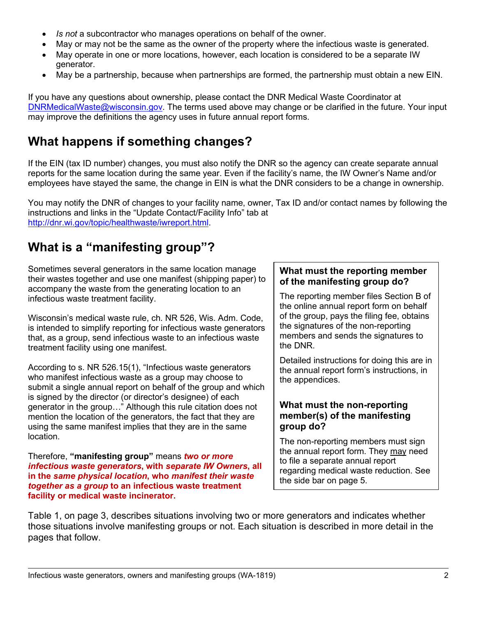- *Is not* a subcontractor who manages operations on behalf of the owner.
- May or may not be the same as the owner of the property where the infectious waste is generated.
- May operate in one or more locations, however, each location is considered to be a separate IW generator.
- May be a partnership, because when partnerships are formed, the partnership must obtain a new EIN.

If you have any questions about ownership, please contact the DNR Medical Waste Coordinator at [DNRMedicalWaste@wisconsin.gov.](mailto:DNRMedicalWaste@wisconsin.gov) The terms used above may change or be clarified in the future. Your input may improve the definitions the agency uses in future annual report forms.

# **What happens if something changes?**

If the EIN (tax ID number) changes, you must also notify the DNR so the agency can create separate annual reports for the same location during the same year. Even if the facility's name, the IW Owner's Name and/or employees have stayed the same, the change in EIN is what the DNR considers to be a change in ownership.

You may notify the DNR of changes to your facility name, owner, Tax ID and/or contact names by following the instructions and links in the "Update Contact/Facility Info" tab at [http://dnr.wi.gov/topic/healthwaste/iwreport.html.](http://dnr.wi.gov/topic/healthwaste/iwreport.html)

# **What is a "manifesting group"?**

Sometimes several generators in the same location manage their wastes together and use one manifest (shipping paper) to accompany the waste from the generating location to an infectious waste treatment facility.

Wisconsin's medical waste rule, ch. NR 526, Wis. Adm. Code, is intended to simplify reporting for infectious waste generators that, as a group, send infectious waste to an infectious waste treatment facility using one manifest.

According to s. NR 526.15(1), "Infectious waste generators who manifest infectious waste as a group may choose to submit a single annual report on behalf of the group and which is signed by the director (or director's designee) of each generator in the group…" Although this rule citation does not mention the location of the generators, the fact that they are using the same manifest implies that they are in the same location.

Therefore, **"manifesting group"** means *two or more infectious waste generators***, with** *separate IW Owners***, all in the** *same physical location***, who** *manifest their waste together as a group* **to an infectious waste treatment facility or medical waste incinerator.**

#### **What must the reporting member of the manifesting group do?**

The reporting member files Section B of the online annual report form on behalf of the group, pays the filing fee, obtains the signatures of the non-reporting members and sends the signatures to the DNR.

Detailed instructions for doing this are in the annual report form's instructions, in the appendices.

#### **What must the non-reporting member(s) of the manifesting group do?**

The non-reporting members must sign the annual report form. They may need to file a separate annual report regarding medical waste reduction. See the side bar on page 5.

Table 1, on page 3, describes situations involving two or more generators and indicates whether those situations involve manifesting groups or not. Each situation is described in more detail in the pages that follow.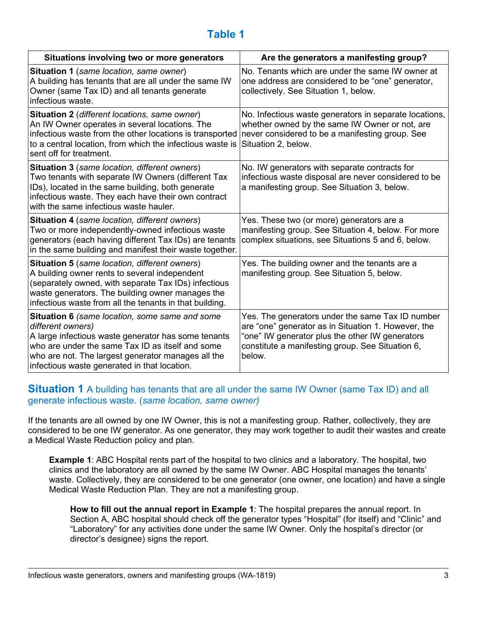### **Table 1**

| Situations involving two or more generators                                                                                                                                                                                                                                                 | Are the generators a manifesting group?                                                                                                                                                                                  |
|---------------------------------------------------------------------------------------------------------------------------------------------------------------------------------------------------------------------------------------------------------------------------------------------|--------------------------------------------------------------------------------------------------------------------------------------------------------------------------------------------------------------------------|
| Situation 1 (same location, same owner)<br>A building has tenants that are all under the same IW<br>Owner (same Tax ID) and all tenants generate<br>infectious waste.                                                                                                                       | No. Tenants which are under the same IW owner at<br>one address are considered to be "one" generator,<br>collectively. See Situation 1, below.                                                                           |
| Situation 2 (different locations, same owner)<br>An IW Owner operates in several locations. The<br>infectious waste from the other locations is transported<br>to a central location, from which the infectious waste is<br>sent off for treatment.                                         | No. Infectious waste generators in separate locations,<br>whether owned by the same IW Owner or not, are<br>never considered to be a manifesting group. See<br>Situation 2, below.                                       |
| Situation 3 (same location, different owners)<br>Two tenants with separate IW Owners (different Tax<br>IDs), located in the same building, both generate<br>infectious waste. They each have their own contract<br>with the same infectious waste hauler.                                   | No. IW generators with separate contracts for<br>infectious waste disposal are never considered to be<br>a manifesting group. See Situation 3, below.                                                                    |
| Situation 4 (same location, different owners)<br>Two or more independently-owned infectious waste<br>generators (each having different Tax IDs) are tenants<br>in the same building and manifest their waste together.                                                                      | Yes. These two (or more) generators are a<br>manifesting group. See Situation 4, below. For more<br>complex situations, see Situations 5 and 6, below.                                                                   |
| Situation 5 (same location, different owners)<br>A building owner rents to several independent<br>(separately owned, with separate Tax IDs) infectious<br>waste generators. The building owner manages the<br>infectious waste from all the tenants in that building.                       | Yes. The building owner and the tenants are a<br>manifesting group. See Situation 5, below.                                                                                                                              |
| <b>Situation 6</b> (same location, some same and some<br>different owners)<br>A large infectious waste generator has some tenants<br>who are under the same Tax ID as itself and some<br>who are not. The largest generator manages all the<br>infectious waste generated in that location. | Yes. The generators under the same Tax ID number<br>are "one" generator as in Situation 1. However, the<br>"one" IW generator plus the other IW generators<br>constitute a manifesting group. See Situation 6,<br>below. |

#### **Situation 1** A building has tenants that are all under the same IW Owner (same Tax ID) and all generate infectious waste. (*same location, same owner)*

If the tenants are all owned by one IW Owner, this is not a manifesting group. Rather, collectively, they are considered to be one IW generator. As one generator, they may work together to audit their wastes and create a Medical Waste Reduction policy and plan.

**Example 1**: ABC Hospital rents part of the hospital to two clinics and a laboratory. The hospital, two clinics and the laboratory are all owned by the same IW Owner. ABC Hospital manages the tenants' waste. Collectively, they are considered to be one generator (one owner, one location) and have a single Medical Waste Reduction Plan. They are not a manifesting group.

**How to fill out the annual report in Example 1**: The hospital prepares the annual report. In Section A, ABC hospital should check off the generator types "Hospital" (for itself) and "Clinic" and "Laboratory" for any activities done under the same IW Owner. Only the hospital's director (or director's designee) signs the report.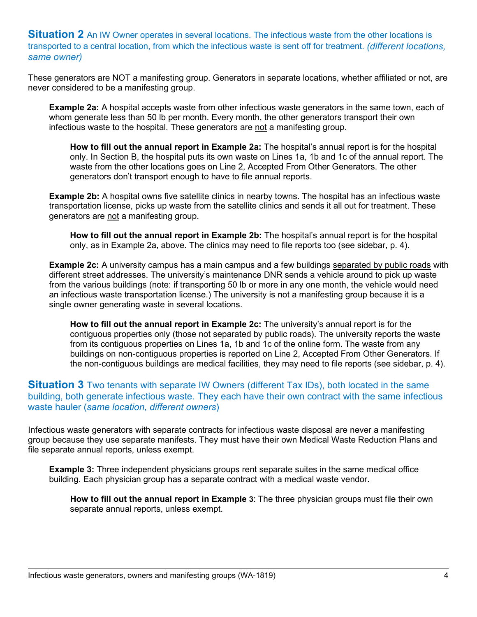**Situation 2** An IW Owner operates in several locations. The infectious waste from the other locations is transported to a central location, from which the infectious waste is sent off for treatment. *(different locations, same owner)* 

These generators are NOT a manifesting group. Generators in separate locations, whether affiliated or not, are never considered to be a manifesting group.

**Example 2a:** A hospital accepts waste from other infectious waste generators in the same town, each of whom generate less than 50 lb per month. Every month, the other generators transport their own infectious waste to the hospital. These generators are not a manifesting group.

**How to fill out the annual report in Example 2a:** The hospital's annual report is for the hospital only. In Section B, the hospital puts its own waste on Lines 1a, 1b and 1c of the annual report. The waste from the other locations goes on Line 2, Accepted From Other Generators. The other generators don't transport enough to have to file annual reports.

**Example 2b:** A hospital owns five satellite clinics in nearby towns. The hospital has an infectious waste transportation license, picks up waste from the satellite clinics and sends it all out for treatment. These generators are not a manifesting group.

**How to fill out the annual report in Example 2b:** The hospital's annual report is for the hospital only, as in Example 2a, above. The clinics may need to file reports too (see sidebar, p. 4).

**Example 2c:** A university campus has a main campus and a few buildings separated by public roads with different street addresses. The university's maintenance DNR sends a vehicle around to pick up waste from the various buildings (note: if transporting 50 lb or more in any one month, the vehicle would need an infectious waste transportation license.) The university is not a manifesting group because it is a single owner generating waste in several locations.

**How to fill out the annual report in Example 2c:** The university's annual report is for the contiguous properties only (those not separated by public roads). The university reports the waste from its contiguous properties on Lines 1a, 1b and 1c of the online form. The waste from any buildings on non-contiguous properties is reported on Line 2, Accepted From Other Generators. If the non-contiguous buildings are medical facilities, they may need to file reports (see sidebar, p. 4).

**Situation 3** Two tenants with separate IW Owners (different Tax IDs), both located in the same building, both generate infectious waste. They each have their own contract with the same infectious waste hauler (*same location, different owners*)

Infectious waste generators with separate contracts for infectious waste disposal are never a manifesting group because they use separate manifests. They must have their own Medical Waste Reduction Plans and file separate annual reports, unless exempt.

**Example 3:** Three independent physicians groups rent separate suites in the same medical office building. Each physician group has a separate contract with a medical waste vendor.

**How to fill out the annual report in Example 3**: The three physician groups must file their own separate annual reports, unless exempt.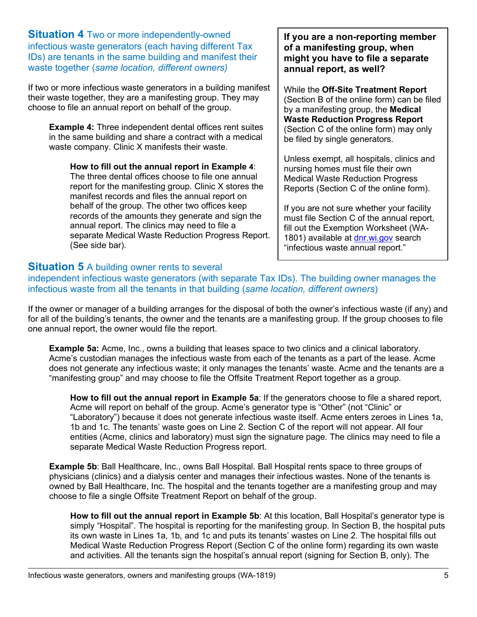**Situation 4** Two or more independently-owned infectious waste generators (each having different Tax IDs) are tenants in the same building and manifest their waste together (*same location, different owners)*

If two or more infectious waste generators in a building manifest their waste together, they are a manifesting group. They may choose to file an annual report on behalf of the group.

**Example 4:** Three independent dental offices rent suites in the same building and share a contract with a medical waste company. Clinic X manifests their waste.

**How to fill out the annual report in Example 4**: The three dental offices choose to file one annual report for the manifesting group. Clinic X stores the manifest records and files the annual report on behalf of the group. The other two offices keep records of the amounts they generate and sign the annual report. The clinics may need to file a separate Medical Waste Reduction Progress Report. (See side bar).

#### **If you are a non-reporting member of a manifesting group, when might you have to file a separate annual report, as well?**

While the **Off-Site Treatment Report** (Section B of the online form) can be filed by a manifesting group, the **Medical Waste Reduction Progress Report** (Section C of the online form) may only be filed by single generators.

Unless exempt, all hospitals, clinics and nursing homes must file their own Medical Waste Reduction Progress Reports (Section C of the online form).

If you are not sure whether your facility must file Section C of the annual report, fill out the Exemption Worksheet (WA1801) available at [dnr.wi.gov](https://dnr.wi.gov/) search "infectious waste annual report."

#### **Situation 5** A building owner rents to several

independent infectious waste generators (with separate Tax IDs). The building owner manages the infectious waste from all the tenants in that building (*same location, different owners*)

If the owner or manager of a building arranges for the disposal of both the owner's infectious waste (if any) and for all of the building's tenants, the owner and the tenants are a manifesting group. If the group chooses to file one annual report, the owner would file the report.

**Example 5a:** Acme, Inc., owns a building that leases space to two clinics and a clinical laboratory. Acme's custodian manages the infectious waste from each of the tenants as a part of the lease. Acme does not generate any infectious waste; it only manages the tenants' waste. Acme and the tenants are a "manifesting group" and may choose to file the Offsite Treatment Report together as a group.

**How to fill out the annual report in Example 5a**: If the generators choose to file a shared report, Acme will report on behalf of the group. Acme's generator type is "Other" (not "Clinic" or "Laboratory") because it does not generate infectious waste itself. Acme enters zeroes in Lines 1a, 1b and 1c. The tenants' waste goes on Line 2. Section C of the report will not appear. All four entities (Acme, clinics and laboratory) must sign the signature page. The clinics may need to file a separate Medical Waste Reduction Progress report.

**Example 5b**: Ball Healthcare, Inc., owns Ball Hospital. Ball Hospital rents space to three groups of physicians (clinics) and a dialysis center and manages their infectious wastes. None of the tenants is owned by Ball Healthcare, Inc. The hospital and the tenants together are a manifesting group and may choose to file a single Offsite Treatment Report on behalf of the group.

**How to fill out the annual report in Example 5b**: At this location, Ball Hospital's generator type is simply "Hospital". The hospital is reporting for the manifesting group. In Section B, the hospital puts its own waste in Lines 1a, 1b, and 1c and puts its tenants' wastes on Line 2. The hospital fills out Medical Waste Reduction Progress Report (Section C of the online form) regarding its own waste and activities. All the tenants sign the hospital's annual report (signing for Section B, only). The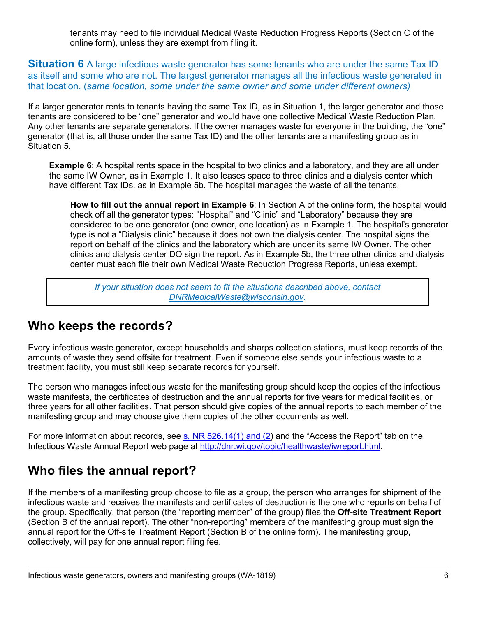tenants may need to file individual Medical Waste Reduction Progress Reports (Section C of the online form), unless they are exempt from filing it.

**Situation 6** A large infectious waste generator has some tenants who are under the same Tax ID as itself and some who are not. The largest generator manages all the infectious waste generated in that location. (*same location, some under the same owner and some under different owners)*

If a larger generator rents to tenants having the same Tax ID, as in Situation 1, the larger generator and those tenants are considered to be "one" generator and would have one collective Medical Waste Reduction Plan. Any other tenants are separate generators. If the owner manages waste for everyone in the building, the "one" generator (that is, all those under the same Tax ID) and the other tenants are a manifesting group as in Situation 5.

**Example 6**: A hospital rents space in the hospital to two clinics and a laboratory, and they are all under the same IW Owner, as in Example 1. It also leases space to three clinics and a dialysis center which have different Tax IDs, as in Example 5b. The hospital manages the waste of all the tenants.

**How to fill out the annual report in Example 6**: In Section A of the online form, the hospital would check off all the generator types: "Hospital" and "Clinic" and "Laboratory" because they are considered to be one generator (one owner, one location) as in Example 1. The hospital's generator type is not a "Dialysis clinic" because it does not own the dialysis center. The hospital signs the report on behalf of the clinics and the laboratory which are under its same IW Owner. The other clinics and dialysis center DO sign the report. As in Example 5b, the three other clinics and dialysis center must each file their own Medical Waste Reduction Progress Reports, unless exempt.

*If your situation does not seem to fit the situations described above, contact [DNRMedicalWaste@wisconsin.gov.](mailto:DNRMedicalWaste@wisconsin.gov)*

### **Who keeps the records?**

Every infectious waste generator, except households and sharps collection stations, must keep records of the amounts of waste they send offsite for treatment. Even if someone else sends your infectious waste to a treatment facility, you must still keep separate records for yourself.

The person who manages infectious waste for the manifesting group should keep the copies of the infectious waste manifests, the certificates of destruction and the annual reports for five years for medical facilities, or three years for all other facilities. That person should give copies of the annual reports to each member of the manifesting group and may choose give them copies of the other documents as well.

For more information about records, see  $\underline{s}$ . NR 526.14(1) and (2) and the "Access the Report" tab on the Infectious Waste Annual Report web page at [http://dnr.wi.gov/topic/healthwaste/iwreport.html.](http://dnr.wi.gov/topic/healthwaste/iwreport.html)

### **Who files the annual report?**

If the members of a manifesting group choose to file as a group, the person who arranges for shipment of the infectious waste and receives the manifests and certificates of destruction is the one who reports on behalf of the group. Specifically, that person (the "reporting member" of the group) files the **Off-site Treatment Report**  (Section B of the annual report). The other "non-reporting" members of the manifesting group must sign the annual report for the Off-site Treatment Report (Section B of the online form). The manifesting group, collectively, will pay for one annual report filing fee.